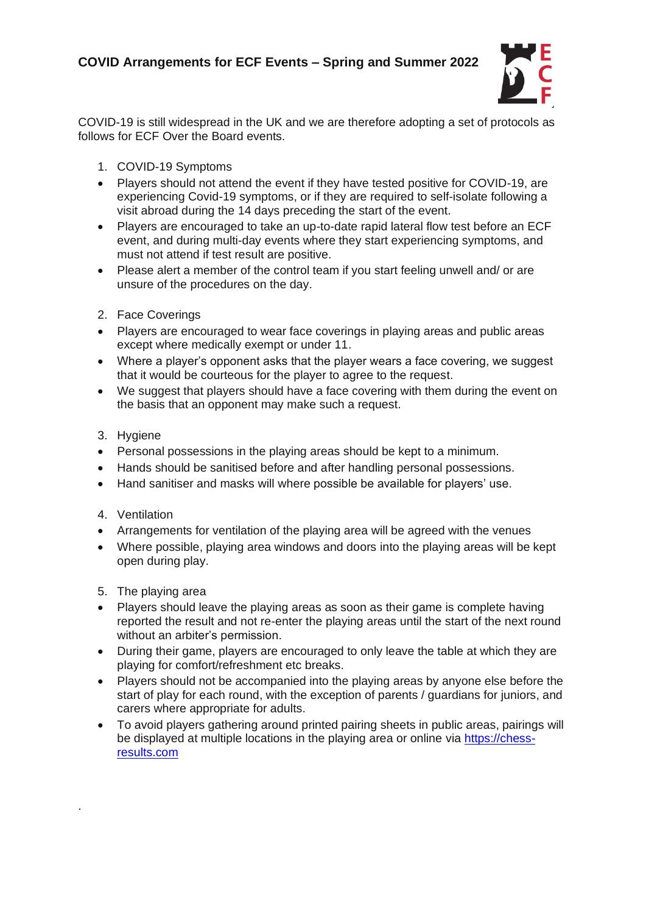

COVID-19 is still widespread in the UK and we are therefore adopting a set of protocols as follows for ECF Over the Board events.

- 1. COVID-19 Symptoms
- Players should not attend the event if they have tested positive for COVID-19, are experiencing Covid-19 symptoms, or if they are required to self-isolate following a visit abroad during the 14 days preceding the start of the event.
- Players are encouraged to take an up-to-date rapid lateral flow test before an ECF event, and during multi-day events where they start experiencing symptoms, and must not attend if test result are positive.
- Please alert a member of the control team if you start feeling unwell and/ or are unsure of the procedures on the day.
- 2. Face Coverings
- Players are encouraged to wear face coverings in playing areas and public areas except where medically exempt or under 11.
- Where a player's opponent asks that the player wears a face covering, we suggest that it would be courteous for the player to agree to the request.
- We suggest that players should have a face covering with them during the event on the basis that an opponent may make such a request.
- 3. Hygiene
- Personal possessions in the playing areas should be kept to a minimum.
- Hands should be sanitised before and after handling personal possessions.
- Hand sanitiser and masks will where possible be available for players' use.
- 4. Ventilation

.

- Arrangements for ventilation of the playing area will be agreed with the venues
- Where possible, playing area windows and doors into the playing areas will be kept open during play.
- 5. The playing area
- Players should leave the playing areas as soon as their game is complete having reported the result and not re-enter the playing areas until the start of the next round without an arbiter's permission.
- During their game, players are encouraged to only leave the table at which they are playing for comfort/refreshment etc breaks.
- Players should not be accompanied into the playing areas by anyone else before the start of play for each round, with the exception of parents / guardians for juniors, and carers where appropriate for adults.
- To avoid players gathering around printed pairing sheets in public areas, pairings will be displayed at multiple locations in the playing area or online via [https://chess](https://chess-results.com/)[results.com](https://chess-results.com/)